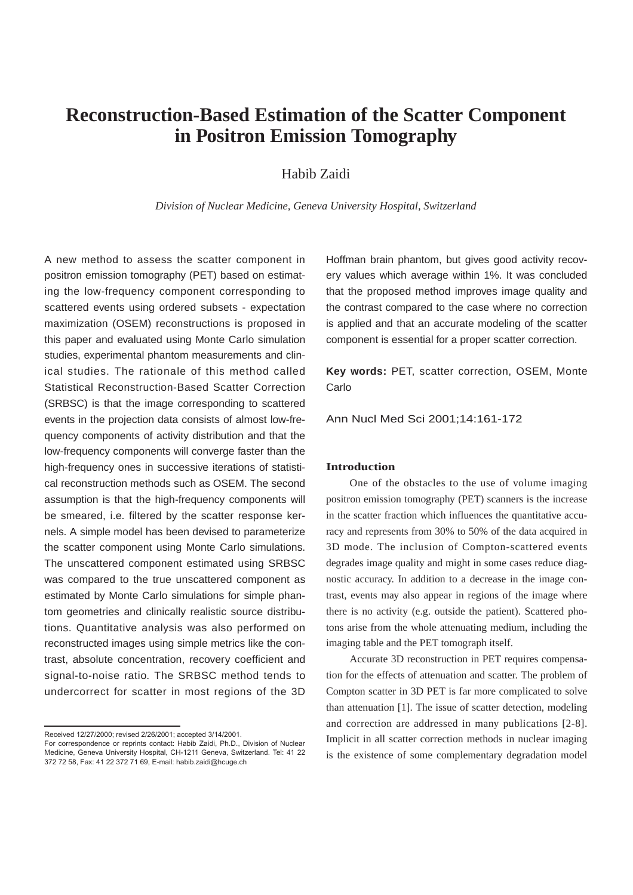# **Reconstruction-Based Estimation of the Scatter Component in Positron Emission Tomography**

Habib Zaidi

*Division of Nuclear Medicine, Geneva University Hospital, Switzerland*

A new method to assess the scatter component in positron emission tomography (PET) based on estimating the low-frequency component corresponding to scattered events using ordered subsets - expectation maximization (OSEM) reconstructions is proposed in this paper and evaluated using Monte Carlo simulation studies, experimental phantom measurements and clinical studies. The rationale of this method called Statistical Reconstruction-Based Scatter Correction (SRBSC) is that the image corresponding to scattered events in the projection data consists of almost low-frequency components of activity distribution and that the low-frequency components will converge faster than the high-frequency ones in successive iterations of statistical reconstruction methods such as OSEM. The second assumption is that the high-frequency components will be smeared, i.e. filtered by the scatter response kernels. A simple model has been devised to parameterize the scatter component using Monte Carlo simulations. The unscattered component estimated using SRBSC was compared to the true unscattered component as estimated by Monte Carlo simulations for simple phantom geometries and clinically realistic source distributions. Quantitative analysis was also performed on reconstructed images using simple metrics like the contrast, absolute concentration, recovery coefficient and signal-to-noise ratio. The SRBSC method tends to undercorrect for scatter in most regions of the 3D

Received 12/27/2000; revised 2/26/2001; accepted 3/14/2001.

Hoffman brain phantom, but gives good activity recovery values which average within 1%. It was concluded that the proposed method improves image quality and the contrast compared to the case where no correction is applied and that an accurate modeling of the scatter component is essential for a proper scatter correction.

**Key words:** PET, scatter correction, OSEM, Monte Carlo

Ann Nucl Med Sci 2001;14:161-172

#### **Introduction**

One of the obstacles to the use of volume imaging positron emission tomography (PET) scanners is the increase in the scatter fraction which influences the quantitative accuracy and represents from 30% to 50% of the data acquired in 3D mode. The inclusion of Compton-scattered events degrades image quality and might in some cases reduce diagnostic accuracy. In addition to a decrease in the image contrast, events may also appear in regions of the image where there is no activity (e.g. outside the patient). Scattered photons arise from the whole attenuating medium, including the imaging table and the PET tomograph itself.

Accurate 3D reconstruction in PET requires compensation for the effects of attenuation and scatter. The problem of Compton scatter in 3D PET is far more complicated to solve than attenuation [1]. The issue of scatter detection, modeling and correction are addressed in many publications [2-8]. Implicit in all scatter correction methods in nuclear imaging is the existence of some complementary degradation model

For correspondence or reprints contact: Habib Zaidi, Ph.D., Division of Nuclear Medicine, Geneva University Hospital, CH-1211 Geneva, Switzerland. Tel: 41 22 372 72 58, Fax: 41 22 372 71 69, E-mail: habib.zaidi@hcuge.ch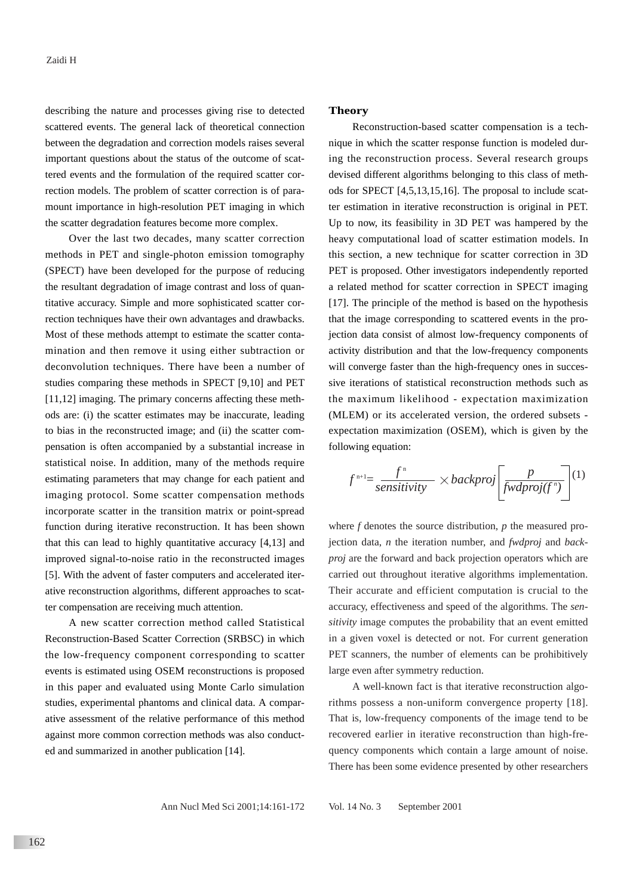describing the nature and processes giving rise to detected scattered events. The general lack of theoretical connection between the degradation and correction models raises several important questions about the status of the outcome of scattered events and the formulation of the required scatter correction models. The problem of scatter correction is of paramount importance in high-resolution PET imaging in which the scatter degradation features become more complex.

Over the last two decades, many scatter correction methods in PET and single-photon emission tomography (SPECT) have been developed for the purpose of reducing the resultant degradation of image contrast and loss of quantitative accuracy. Simple and more sophisticated scatter correction techniques have their own advantages and drawbacks. Most of these methods attempt to estimate the scatter contamination and then remove it using either subtraction or deconvolution techniques. There have been a number of studies comparing these methods in SPECT [9,10] and PET [11,12] imaging. The primary concerns affecting these methods are: (i) the scatter estimates may be inaccurate, leading to bias in the reconstructed image; and (ii) the scatter compensation is often accompanied by a substantial increase in statistical noise. In addition, many of the methods require estimating parameters that may change for each patient and imaging protocol. Some scatter compensation methods incorporate scatter in the transition matrix or point-spread function during iterative reconstruction. It has been shown that this can lead to highly quantitative accuracy [4,13] and improved signal-to-noise ratio in the reconstructed images [5]. With the advent of faster computers and accelerated iterative reconstruction algorithms, different approaches to scatter compensation are receiving much attention.

A new scatter correction method called Statistical Reconstruction-Based Scatter Correction (SRBSC) in which the low-frequency component corresponding to scatter events is estimated using OSEM reconstructions is proposed in this paper and evaluated using Monte Carlo simulation studies, experimental phantoms and clinical data. A comparative assessment of the relative performance of this method against more common correction methods was also conducted and summarized in another publication [14].

## **Theory**

Reconstruction-based scatter compensation is a technique in which the scatter response function is modeled during the reconstruction process. Several research groups devised different algorithms belonging to this class of methods for SPECT [4,5,13,15,16]. The proposal to include scatter estimation in iterative reconstruction is original in PET. Up to now, its feasibility in 3D PET was hampered by the heavy computational load of scatter estimation models. In this section, a new technique for scatter correction in 3D PET is proposed. Other investigators independently reported a related method for scatter correction in SPECT imaging [17]. The principle of the method is based on the hypothesis that the image corresponding to scattered events in the projection data consist of almost low-frequency components of activity distribution and that the low-frequency components will converge faster than the high-frequency ones in successive iterations of statistical reconstruction methods such as the maximum likelihood - expectation maximization (MLEM) or its accelerated version, the ordered subsets expectation maximization (OSEM), which is given by the following equation:

$$
f^{n+1} = \frac{f^n}{sensitivity} \times backproj\left[\frac{p}{fwdproj(f^n)}\right]^{(1)}
$$

where *f* denotes the source distribution, *p* the measured projection data, *n* the iteration number, and *fwdproj* and *backproj* are the forward and back projection operators which are carried out throughout iterative algorithms implementation. Their accurate and efficient computation is crucial to the accuracy, effectiveness and speed of the algorithms. The *sensitivity* image computes the probability that an event emitted in a given voxel is detected or not. For current generation PET scanners, the number of elements can be prohibitively large even after symmetry reduction.

A well-known fact is that iterative reconstruction algorithms possess a non-uniform convergence property [18]. That is, low-frequency components of the image tend to be recovered earlier in iterative reconstruction than high-frequency components which contain a large amount of noise. There has been some evidence presented by other researchers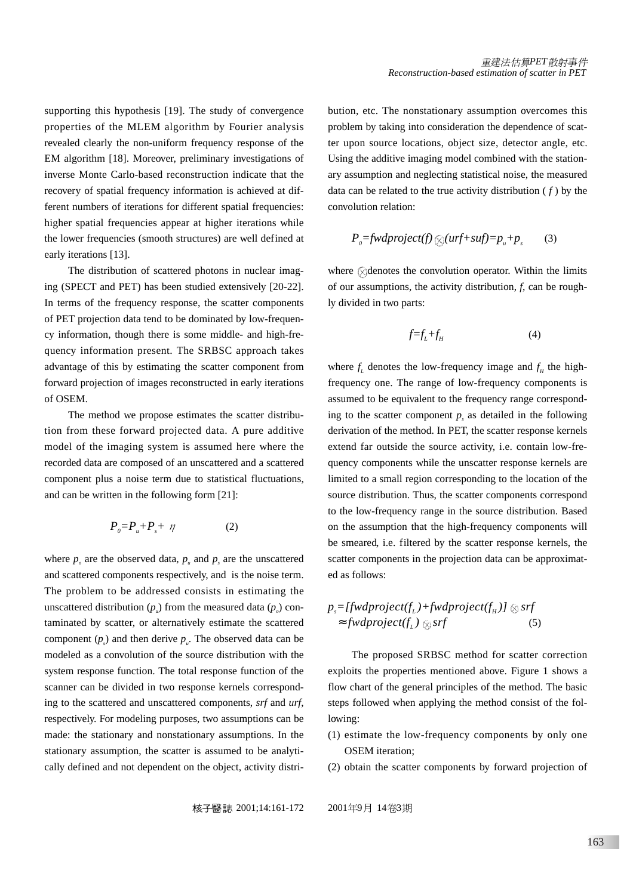supporting this hypothesis [19]. The study of convergence properties of the MLEM algorithm by Fourier analysis revealed clearly the non-uniform frequency response of the EM algorithm [18]. Moreover, preliminary investigations of inverse Monte Carlo-based reconstruction indicate that the recovery of spatial frequency information is achieved at different numbers of iterations for different spatial frequencies: higher spatial frequencies appear at higher iterations while the lower frequencies (smooth structures) are well defined at early iterations [13].

The distribution of scattered photons in nuclear imaging (SPECT and PET) has been studied extensively [20-22]. In terms of the frequency response, the scatter components of PET projection data tend to be dominated by low-frequency information, though there is some middle- and high-frequency information present. The SRBSC approach takes advantage of this by estimating the scatter component from forward projection of images reconstructed in early iterations of OSEM.

The method we propose estimates the scatter distribution from these forward projected data. A pure additive model of the imaging system is assumed here where the recorded data are composed of an unscattered and a scattered component plus a noise term due to statistical fluctuations, and can be written in the following form [21]:

$$
P_o = P_u + P_s + \eta \tag{2}
$$

where  $p<sub>o</sub>$  are the observed data,  $p<sub>u</sub>$  and  $p<sub>s</sub>$  are the unscattered and scattered components respectively, and is the noise term. The problem to be addressed consists in estimating the unscattered distribution  $(p_{\mu})$  from the measured data  $(p_{\mu})$  contaminated by scatter, or alternatively estimate the scattered component  $(p_s)$  and then derive  $p_u$ . The observed data can be modeled as a convolution of the source distribution with the system response function. The total response function of the scanner can be divided in two response kernels corresponding to the scattered and unscattered components, *srf* and *urf*, respectively. For modeling purposes, two assumptions can be made: the stationary and nonstationary assumptions. In the stationary assumption, the scatter is assumed to be analytically defined and not dependent on the object, activity distri-

bution, etc. The nonstationary assumption overcomes this problem by taking into consideration the dependence of scatter upon source locations, object size, detector angle, etc. Using the additive imaging model combined with the stationary assumption and neglecting statistical noise, the measured data can be related to the true activity distribution  $(f)$  by the convolution relation:

$$
P_0 = \frac{fwdproject(f)}{\otimes (urf + suff)} = p_u + p_s \tag{3}
$$

where  $\Diamond$  denotes the convolution operator. Within the limits of our assumptions, the activity distribution, *f*, can be roughly divided in two parts:

$$
f=f_L+f_H\tag{4}
$$

where  $f_L$  denotes the low-frequency image and  $f_H$  the highfrequency one. The range of low-frequency components is assumed to be equivalent to the frequency range corresponding to the scatter component  $p<sub>s</sub>$  as detailed in the following derivation of the method. In PET, the scatter response kernels extend far outside the source activity, i.e. contain low-frequency components while the unscatter response kernels are limited to a small region corresponding to the location of the source distribution. Thus, the scatter components correspond to the low-frequency range in the source distribution. Based on the assumption that the high-frequency components will be smeared, i.e. filtered by the scatter response kernels, the scatter components in the projection data can be approximated as follows:

$$
p_s = [fwdproject(f_L) + fwdproject(f_H)] \otimes srf
$$
  
\n
$$
\approx fwdproject(f_L) \otimes srf
$$
 (5)

The proposed SRBSC method for scatter correction exploits the properties mentioned above. Figure 1 shows a flow chart of the general principles of the method. The basic steps followed when applying the method consist of the following:

- (1) estimate the low-frequency components by only one OSEM iteration;
- (2) obtain the scatter components by forward projection of

2001;14:161-172 2001 9 14 3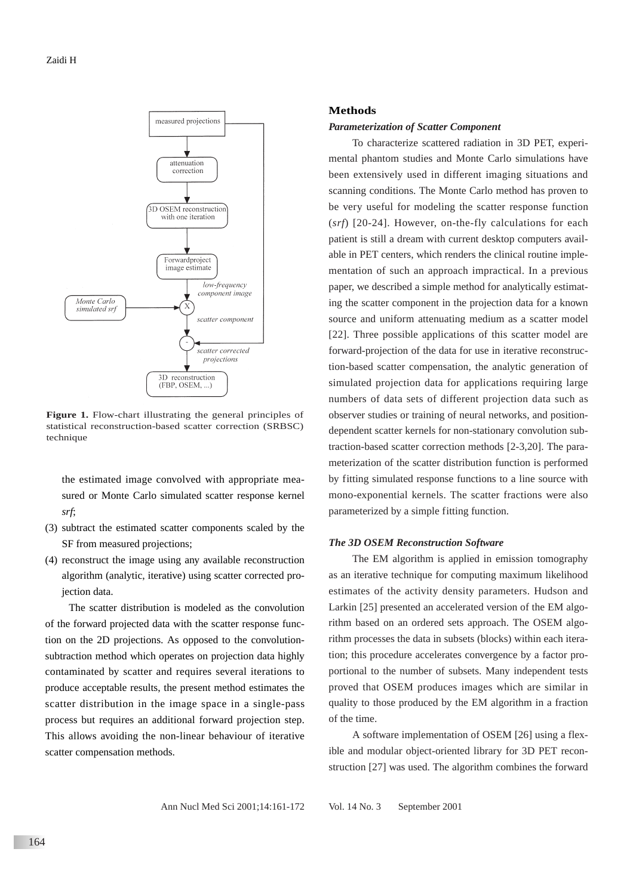

Figure 1. Flow-chart illustrating the general principles of statistical reconstruction-based scatter correction (SRBSC) technique

the estimated image convolved with appropriate measured or Monte Carlo simulated scatter response kernel *srf*;

- (3) subtract the estimated scatter components scaled by the SF from measured projections;
- (4) reconstruct the image using any available reconstruction algorithm (analytic, iterative) using scatter corrected projection data.

The scatter distribution is modeled as the convolution of the forward projected data with the scatter response function on the 2D projections. As opposed to the convolutionsubtraction method which operates on projection data highly contaminated by scatter and requires several iterations to produce acceptable results, the present method estimates the scatter distribution in the image space in a single-pass process but requires an additional forward projection step. This allows avoiding the non-linear behaviour of iterative scatter compensation methods.

## **Methods**

#### *Parameterization of Scatter Component*

To characterize scattered radiation in 3D PET, experimental phantom studies and Monte Carlo simulations have been extensively used in different imaging situations and scanning conditions. The Monte Carlo method has proven to be very useful for modeling the scatter response function (*srf*) [20-24]. However, on-the-fly calculations for each patient is still a dream with current desktop computers available in PET centers, which renders the clinical routine implementation of such an approach impractical. In a previous paper, we described a simple method for analytically estimating the scatter component in the projection data for a known source and uniform attenuating medium as a scatter model [22]. Three possible applications of this scatter model are forward-projection of the data for use in iterative reconstruction-based scatter compensation, the analytic generation of simulated projection data for applications requiring large numbers of data sets of different projection data such as observer studies or training of neural networks, and positiondependent scatter kernels for non-stationary convolution subtraction-based scatter correction methods [2-3,20]. The parameterization of the scatter distribution function is performed by fitting simulated response functions to a line source with mono-exponential kernels. The scatter fractions were also parameterized by a simple fitting function.

### *The 3D OSEM Reconstruction Software*

The EM algorithm is applied in emission tomography as an iterative technique for computing maximum likelihood estimates of the activity density parameters. Hudson and Larkin [25] presented an accelerated version of the EM algorithm based on an ordered sets approach. The OSEM algorithm processes the data in subsets (blocks) within each iteration; this procedure accelerates convergence by a factor proportional to the number of subsets. Many independent tests proved that OSEM produces images which are similar in quality to those produced by the EM algorithm in a fraction of the time.

A software implementation of OSEM [26] using a flexible and modular object-oriented library for 3D PET reconstruction [27] was used. The algorithm combines the forward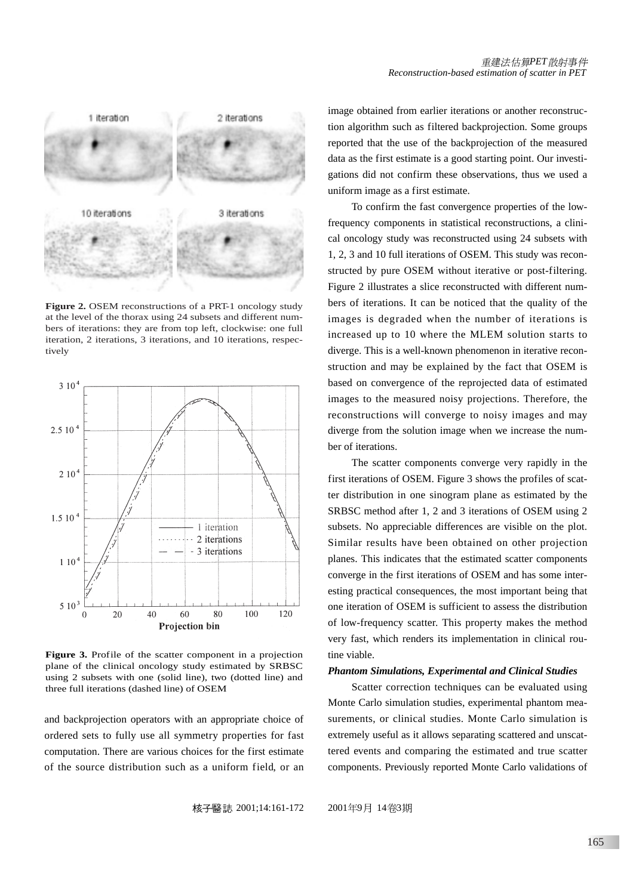

**Figure 2.** OSEM reconstructions of a PRT-1 oncology study at the level of the thorax using 24 subsets and different numbers of iterations: they are from top left, clockwise: one full iteration, 2 iterations, 3 iterations, and 10 iterations, respectively



Figure 3. Profile of the scatter component in a projection plane of the clinical oncology study estimated by SRBSC using 2 subsets with one (solid line), two (dotted line) and three full iterations (dashed line) of OSEM

and backprojection operators with an appropriate choice of ordered sets to fully use all symmetry properties for fast computation. There are various choices for the first estimate of the source distribution such as a uniform field, or an image obtained from earlier iterations or another reconstruction algorithm such as filtered backprojection. Some groups reported that the use of the backprojection of the measured data as the first estimate is a good starting point. Our investigations did not confirm these observations, thus we used a uniform image as a first estimate.

To confirm the fast convergence properties of the lowfrequency components in statistical reconstructions, a clinical oncology study was reconstructed using 24 subsets with 1, 2, 3 and 10 full iterations of OSEM. This study was reconstructed by pure OSEM without iterative or post-filtering. Figure 2 illustrates a slice reconstructed with different numbers of iterations. It can be noticed that the quality of the images is degraded when the number of iterations is increased up to 10 where the MLEM solution starts to diverge. This is a well-known phenomenon in iterative reconstruction and may be explained by the fact that OSEM is based on convergence of the reprojected data of estimated images to the measured noisy projections. Therefore, the reconstructions will converge to noisy images and may diverge from the solution image when we increase the number of iterations.

The scatter components converge very rapidly in the first iterations of OSEM. Figure 3 shows the profiles of scatter distribution in one sinogram plane as estimated by the SRBSC method after 1, 2 and 3 iterations of OSEM using 2 subsets. No appreciable differences are visible on the plot. Similar results have been obtained on other projection planes. This indicates that the estimated scatter components converge in the first iterations of OSEM and has some interesting practical consequences, the most important being that one iteration of OSEM is sufficient to assess the distribution of low-frequency scatter. This property makes the method very fast, which renders its implementation in clinical routine viable.

#### *Phantom Simulations, Experimental and Clinical Studies*

Scatter correction techniques can be evaluated using Monte Carlo simulation studies, experimental phantom measurements, or clinical studies. Monte Carlo simulation is extremely useful as it allows separating scattered and unscattered events and comparing the estimated and true scatter components. Previously reported Monte Carlo validations of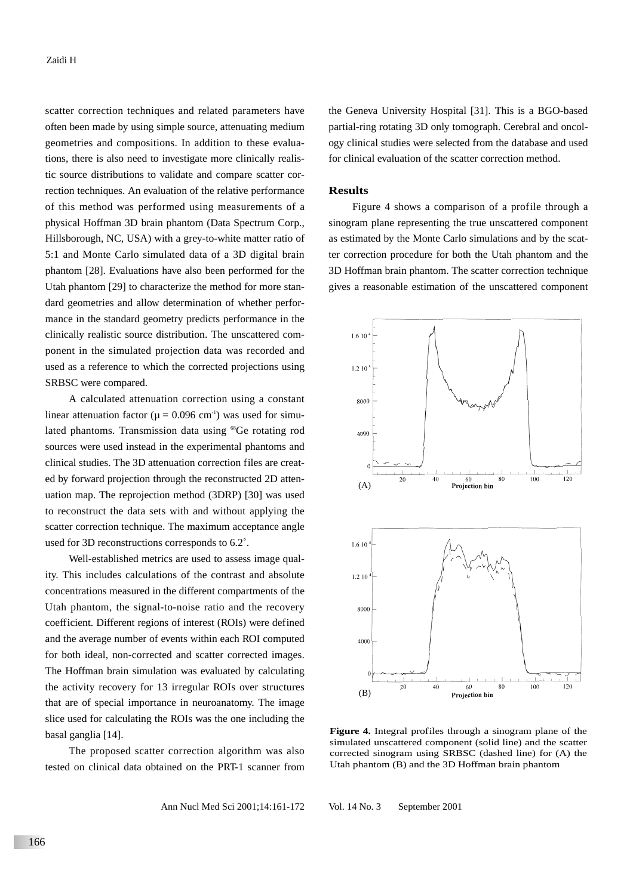scatter correction techniques and related parameters have often been made by using simple source, attenuating medium geometries and compositions. In addition to these evaluations, there is also need to investigate more clinically realistic source distributions to validate and compare scatter correction techniques. An evaluation of the relative performance of this method was performed using measurements of a physical Hoffman 3D brain phantom (Data Spectrum Corp., Hillsborough, NC, USA) with a grey-to-white matter ratio of 5:1 and Monte Carlo simulated data of a 3D digital brain phantom [28]. Evaluations have also been performed for the Utah phantom [29] to characterize the method for more standard geometries and allow determination of whether performance in the standard geometry predicts performance in the clinically realistic source distribution. The unscattered component in the simulated projection data was recorded and used as a reference to which the corrected projections using SRBSC were compared.

A calculated attenuation correction using a constant linear attenuation factor ( $\mu = 0.096$  cm<sup>-1</sup>) was used for simulated phantoms. Transmission data using <sup>68</sup>Ge rotating rod sources were used instead in the experimental phantoms and clinical studies. The 3D attenuation correction files are created by forward projection through the reconstructed 2D attenuation map. The reprojection method (3DRP) [30] was used to reconstruct the data sets with and without applying the scatter correction technique. The maximum acceptance angle used for 3D reconstructions corresponds to 6.2˚.

Well-established metrics are used to assess image quality. This includes calculations of the contrast and absolute concentrations measured in the different compartments of the Utah phantom, the signal-to-noise ratio and the recovery coefficient. Different regions of interest (ROIs) were defined and the average number of events within each ROI computed for both ideal, non-corrected and scatter corrected images. The Hoffman brain simulation was evaluated by calculating the activity recovery for 13 irregular ROIs over structures that are of special importance in neuroanatomy. The image slice used for calculating the ROIs was the one including the basal ganglia [14].

The proposed scatter correction algorithm was also tested on clinical data obtained on the PRT-1 scanner from

Ann Nucl Med Sci 2001;14:161-172 Vol. 14 No. 3 September 2001

166

the Geneva University Hospital [31]. This is a BGO-based partial-ring rotating 3D only tomograph. Cerebral and oncology clinical studies were selected from the database and used for clinical evaluation of the scatter correction method.

## **Results**

Figure 4 shows a comparison of a profile through a sinogram plane representing the true unscattered component as estimated by the Monte Carlo simulations and by the scatter correction procedure for both the Utah phantom and the 3D Hoffman brain phantom. The scatter correction technique gives a reasonable estimation of the unscattered component



**Figure 4.** Integral profiles through a sinogram plane of the simulated unscattered component (solid line) and the scatter corrected sinogram using SRBSC (dashed line) for (A) the Utah phantom (B) and the 3D Hoffman brain phantom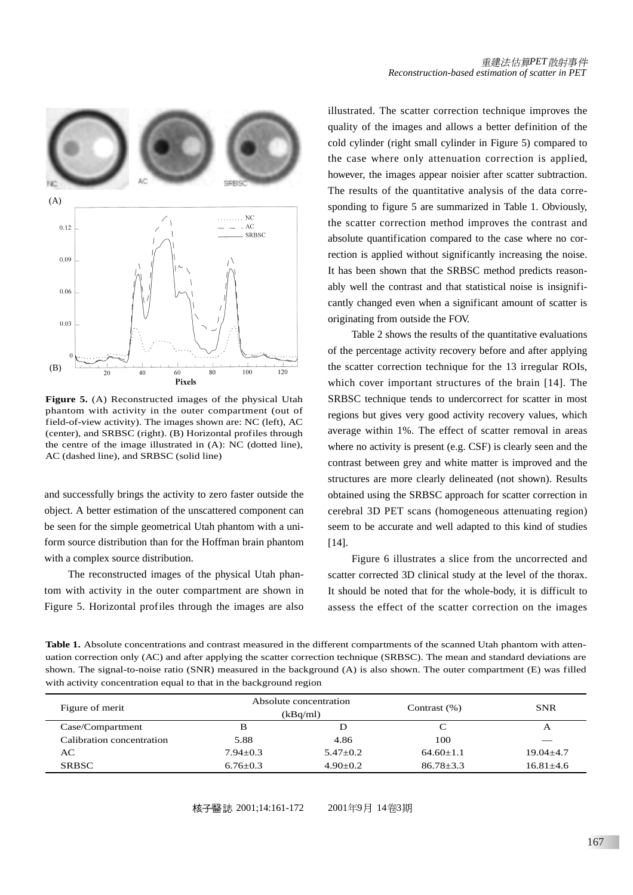

**Figure 5.** (A) Reconstructed images of the physical Utah phantom with activity in the outer compartment (out of field-of-view activity). The images shown are: NC (left), AC (center), and SRBSC (right). (B) Horizontal profiles through the centre of the image illustrated in (A): NC (dotted line), AC (dashed line), and SRBSC (solid line)

and successfully brings the activity to zero faster outside the object. A better estimation of the unscattered component can be seen for the simple geometrical Utah phantom with a uniform source distribution than for the Hoffman brain phantom with a complex source distribution.

The reconstructed images of the physical Utah phantom with activity in the outer compartment are shown in Figure 5. Horizontal profiles through the images are also

illustrated. The scatter correction technique improves the quality of the images and allows a better definition of the cold cylinder (right small cylinder in Figure 5) compared to the case where only attenuation correction is applied, however, the images appear noisier after scatter subtraction. The results of the quantitative analysis of the data corresponding to figure 5 are summarized in Table 1. Obviously, the scatter correction method improves the contrast and absolute quantification compared to the case where no correction is applied without significantly increasing the noise. It has been shown that the SRBSC method predicts reasonably well the contrast and that statistical noise is insignificantly changed even when a significant amount of scatter is originating from outside the FOV.

Table 2 shows the results of the quantitative evaluations of the percentage activity recovery before and after applying the scatter correction technique for the 13 irregular ROIs, which cover important structures of the brain [14]. The SRBSC technique tends to undercorrect for scatter in most regions but gives very good activity recovery values, which average within 1%. The effect of scatter removal in areas where no activity is present (e.g. CSF) is clearly seen and the contrast between grey and white matter is improved and the structures are more clearly delineated (not shown). Results obtained using the SRBSC approach for scatter correction in cerebral 3D PET scans (homogeneous attenuating region) seem to be accurate and well adapted to this kind of studies [14].

Figure 6 illustrates a slice from the uncorrected and scatter corrected 3D clinical study at the level of the thorax. It should be noted that for the whole-body, it is difficult to assess the effect of the scatter correction on the images

**Table 1.** Absolute concentrations and contrast measured in the different compartments of the scanned Utah phantom with attenuation correction only (AC) and after applying the scatter correction technique (SRBSC). The mean and standard deviations are shown. The signal-to-noise ratio (SNR) measured in the background (A) is also shown. The outer compartment (E) was filled with activity concentration equal to that in the background region

| Figure of merit           | Absolute concentration<br>(kBq/ml) |            | Contrast $(\%)$ | <b>SNR</b>    |
|---------------------------|------------------------------------|------------|-----------------|---------------|
| Case/Compartment          | в                                  |            |                 | A             |
| Calibration concentration | 5.88                               | 4.86       | 100             |               |
| AС                        | $7.94 + 0.3$                       | $5.47+0.2$ | $64.60+1.1$     | $19.04 + 4.7$ |
| <b>SRBSC</b>              | $6.76 + 0.3$                       | $4.90+0.2$ | $86.78 + 3.3$   | $16.81 + 4.6$ |

核子醫誌 2001;14:161-172 2001年9月 14卷3期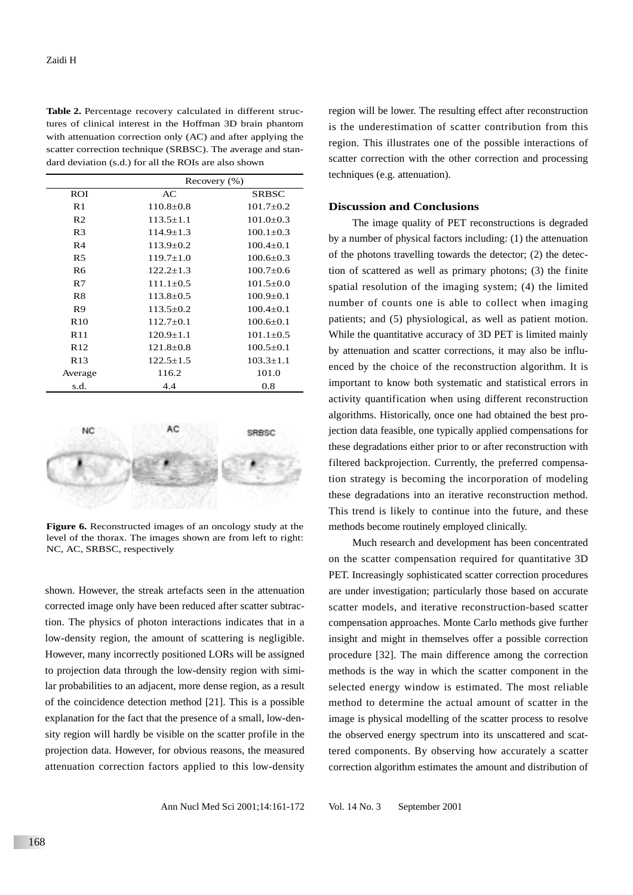**Table 2.** Percentage recovery calculated in different structures of clinical interest in the Hoffman 3D brain phantom with attenuation correction only (AC) and after applying the scatter correction technique (SRBSC). The average and standard deviation (s.d.) for all the ROIs are also shown

|                 | Recovery $(\% )$ |                 |  |
|-----------------|------------------|-----------------|--|
| ROI             | AC               | <b>SRBSC</b>    |  |
| R1              | $110.8 + 0.8$    | $101.7 + 0.2$   |  |
| R <sub>2</sub>  | $113.5 + 1.1$    | $101.0 \pm 0.3$ |  |
| R <sub>3</sub>  | $114.9 \pm 1.3$  | $100.1 \pm 0.3$ |  |
| R <sub>4</sub>  | $113.9 \pm 0.2$  | $100.4 \pm 0.1$ |  |
| R <sub>5</sub>  | $119.7 \pm 1.0$  | $100.6 \pm 0.3$ |  |
| R <sub>6</sub>  | $122.2+1.3$      | $100.7 + 0.6$   |  |
| R7              | $111.1 \pm 0.5$  | $101.5 \pm 0.0$ |  |
| R8              | $113.8 \pm 0.5$  | $100.9 \pm 0.1$ |  |
| R9              | $113.5 \pm 0.2$  | $100.4 \pm 0.1$ |  |
| R <sub>10</sub> | $112.7+0.1$      | $100.6 \pm 0.1$ |  |
| R11             | $120.9 \pm 1.1$  | $101.1 \pm 0.5$ |  |
| R <sub>12</sub> | $121.8 \pm 0.8$  | $100.5 \pm 0.1$ |  |
| R13             | $122.5 + 1.5$    | $103.3 \pm 1.1$ |  |
| Average         | 116.2            | 101.0           |  |
| s.d.            | 4.4              | 0.8             |  |



**Figure 6.** Reconstructed images of an oncology study at the level of the thorax. The images shown are from left to right: NC, AC, SRBSC, respectively

shown. However, the streak artefacts seen in the attenuation corrected image only have been reduced after scatter subtraction. The physics of photon interactions indicates that in a low-density region, the amount of scattering is negligible. However, many incorrectly positioned LORs will be assigned to projection data through the low-density region with similar probabilities to an adjacent, more dense region, as a result of the coincidence detection method [21]. This is a possible explanation for the fact that the presence of a small, low-density region will hardly be visible on the scatter profile in the projection data. However, for obvious reasons, the measured attenuation correction factors applied to this low-density

region will be lower. The resulting effect after reconstruction is the underestimation of scatter contribution from this region. This illustrates one of the possible interactions of scatter correction with the other correction and processing techniques (e.g. attenuation).

## **Discussion and Conclusions**

The image quality of PET reconstructions is degraded by a number of physical factors including: (1) the attenuation of the photons travelling towards the detector; (2) the detection of scattered as well as primary photons; (3) the finite spatial resolution of the imaging system; (4) the limited number of counts one is able to collect when imaging patients; and (5) physiological, as well as patient motion. While the quantitative accuracy of 3D PET is limited mainly by attenuation and scatter corrections, it may also be influenced by the choice of the reconstruction algorithm. It is important to know both systematic and statistical errors in activity quantification when using different reconstruction algorithms. Historically, once one had obtained the best projection data feasible, one typically applied compensations for these degradations either prior to or after reconstruction with filtered backprojection. Currently, the preferred compensation strategy is becoming the incorporation of modeling these degradations into an iterative reconstruction method. This trend is likely to continue into the future, and these methods become routinely employed clinically.

Much research and development has been concentrated on the scatter compensation required for quantitative 3D PET. Increasingly sophisticated scatter correction procedures are under investigation; particularly those based on accurate scatter models, and iterative reconstruction-based scatter compensation approaches. Monte Carlo methods give further insight and might in themselves offer a possible correction procedure [32]. The main difference among the correction methods is the way in which the scatter component in the selected energy window is estimated. The most reliable method to determine the actual amount of scatter in the image is physical modelling of the scatter process to resolve the observed energy spectrum into its unscattered and scattered components. By observing how accurately a scatter correction algorithm estimates the amount and distribution of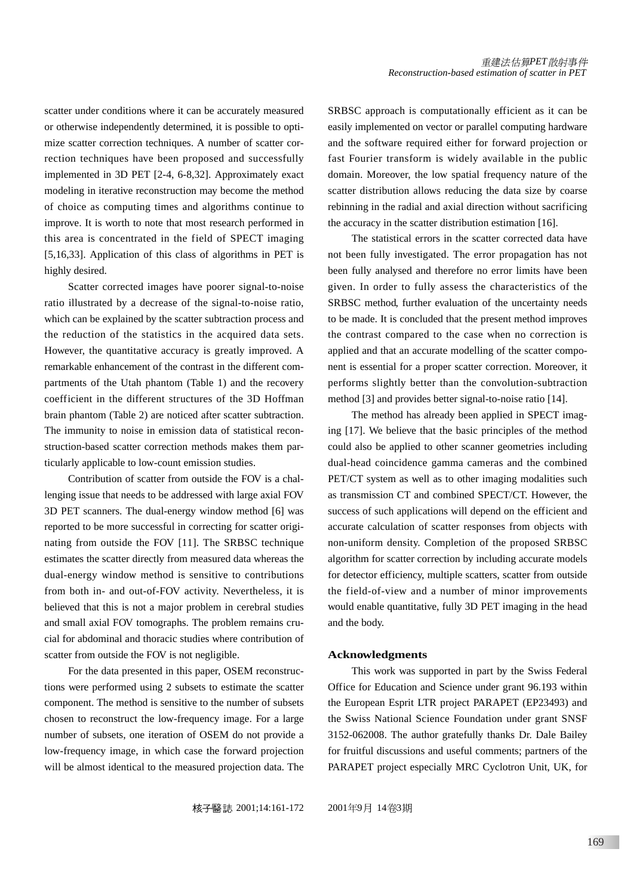scatter under conditions where it can be accurately measured or otherwise independently determined, it is possible to optimize scatter correction techniques. A number of scatter correction techniques have been proposed and successfully implemented in 3D PET [2-4, 6-8,32]. Approximately exact modeling in iterative reconstruction may become the method of choice as computing times and algorithms continue to improve. It is worth to note that most research performed in this area is concentrated in the field of SPECT imaging [5,16,33]. Application of this class of algorithms in PET is highly desired.

Scatter corrected images have poorer signal-to-noise ratio illustrated by a decrease of the signal-to-noise ratio, which can be explained by the scatter subtraction process and the reduction of the statistics in the acquired data sets. However, the quantitative accuracy is greatly improved. A remarkable enhancement of the contrast in the different compartments of the Utah phantom (Table 1) and the recovery coefficient in the different structures of the 3D Hoffman brain phantom (Table 2) are noticed after scatter subtraction. The immunity to noise in emission data of statistical reconstruction-based scatter correction methods makes them particularly applicable to low-count emission studies.

Contribution of scatter from outside the FOV is a challenging issue that needs to be addressed with large axial FOV 3D PET scanners. The dual-energy window method [6] was reported to be more successful in correcting for scatter originating from outside the FOV [11]. The SRBSC technique estimates the scatter directly from measured data whereas the dual-energy window method is sensitive to contributions from both in- and out-of-FOV activity. Nevertheless, it is believed that this is not a major problem in cerebral studies and small axial FOV tomographs. The problem remains crucial for abdominal and thoracic studies where contribution of scatter from outside the FOV is not negligible.

For the data presented in this paper, OSEM reconstructions were performed using 2 subsets to estimate the scatter component. The method is sensitive to the number of subsets chosen to reconstruct the low-frequency image. For a large number of subsets, one iteration of OSEM do not provide a low-frequency image, in which case the forward projection will be almost identical to the measured projection data. The

SRBSC approach is computationally efficient as it can be easily implemented on vector or parallel computing hardware and the software required either for forward projection or fast Fourier transform is widely available in the public domain. Moreover, the low spatial frequency nature of the scatter distribution allows reducing the data size by coarse rebinning in the radial and axial direction without sacrificing the accuracy in the scatter distribution estimation [16].

The statistical errors in the scatter corrected data have not been fully investigated. The error propagation has not been fully analysed and therefore no error limits have been given. In order to fully assess the characteristics of the SRBSC method, further evaluation of the uncertainty needs to be made. It is concluded that the present method improves the contrast compared to the case when no correction is applied and that an accurate modelling of the scatter component is essential for a proper scatter correction. Moreover, it performs slightly better than the convolution-subtraction method [3] and provides better signal-to-noise ratio [14].

The method has already been applied in SPECT imaging [17]. We believe that the basic principles of the method could also be applied to other scanner geometries including dual-head coincidence gamma cameras and the combined PET/CT system as well as to other imaging modalities such as transmission CT and combined SPECT/CT. However, the success of such applications will depend on the efficient and accurate calculation of scatter responses from objects with non-uniform density. Completion of the proposed SRBSC algorithm for scatter correction by including accurate models for detector efficiency, multiple scatters, scatter from outside the field-of-view and a number of minor improvements would enable quantitative, fully 3D PET imaging in the head and the body.

#### **Acknowledgments**

This work was supported in part by the Swiss Federal Office for Education and Science under grant 96.193 within the European Esprit LTR project PARAPET (EP23493) and the Swiss National Science Foundation under grant SNSF 3152-062008. The author gratefully thanks Dr. Dale Bailey for fruitful discussions and useful comments; partners of the PARAPET project especially MRC Cyclotron Unit, UK, for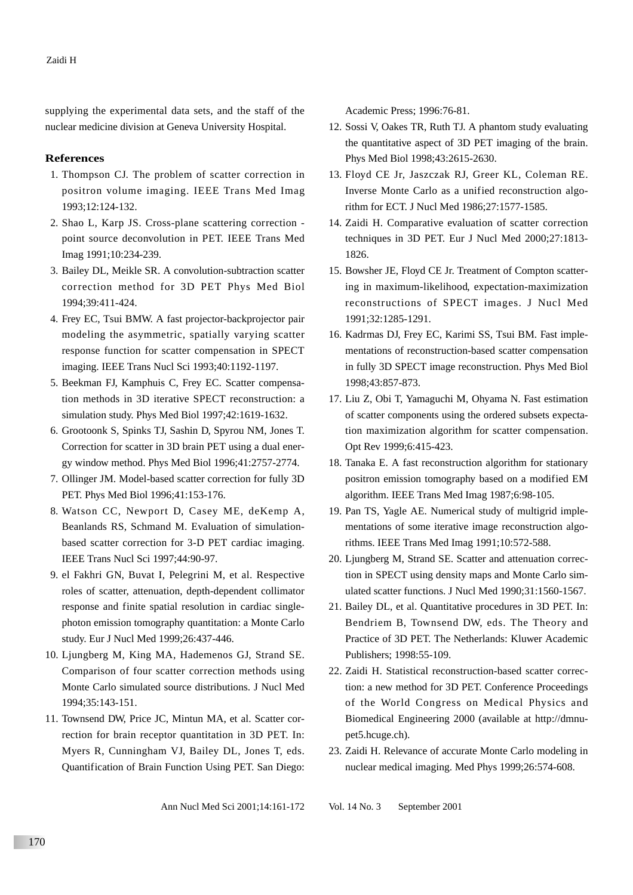supplying the experimental data sets, and the staff of the nuclear medicine division at Geneva University Hospital.

## **References**

- 1. Thompson CJ. The problem of scatter correction in positron volume imaging. IEEE Trans Med Imag 1993;12:124-132.
- 2. Shao L, Karp JS. Cross-plane scattering correction point source deconvolution in PET. IEEE Trans Med Imag 1991;10:234-239.
- 3. Bailey DL, Meikle SR. A convolution-subtraction scatter correction method for 3D PET Phys Med Biol 1994;39:411-424.
- 4. Frey EC, Tsui BMW. A fast projector-backprojector pair modeling the asymmetric, spatially varying scatter response function for scatter compensation in SPECT imaging. IEEE Trans Nucl Sci 1993;40:1192-1197.
- 5. Beekman FJ, Kamphuis C, Frey EC. Scatter compensation methods in 3D iterative SPECT reconstruction: a simulation study. Phys Med Biol 1997;42:1619-1632.
- 6. Grootoonk S, Spinks TJ, Sashin D, Spyrou NM, Jones T. Correction for scatter in 3D brain PET using a dual energy window method. Phys Med Biol 1996;41:2757-2774.
- 7. Ollinger JM. Model-based scatter correction for fully 3D PET. Phys Med Biol 1996;41:153-176.
- 8. Watson CC, Newport D, Casey ME, deKemp A, Beanlands RS, Schmand M. Evaluation of simulationbased scatter correction for 3-D PET cardiac imaging. IEEE Trans Nucl Sci 1997;44:90-97.
- 9. el Fakhri GN, Buvat I, Pelegrini M, et al. Respective roles of scatter, attenuation, depth-dependent collimator response and finite spatial resolution in cardiac singlephoton emission tomography quantitation: a Monte Carlo study. Eur J Nucl Med 1999;26:437-446.
- 10. Ljungberg M, King MA, Hademenos GJ, Strand SE. Comparison of four scatter correction methods using Monte Carlo simulated source distributions. J Nucl Med 1994;35:143-151.
- 11. Townsend DW, Price JC, Mintun MA, et al. Scatter correction for brain receptor quantitation in 3D PET. In: Myers R, Cunningham VJ, Bailey DL, Jones T, eds. Quantification of Brain Function Using PET. San Diego:

Academic Press; 1996:76-81.

- 12. Sossi V, Oakes TR, Ruth TJ. A phantom study evaluating the quantitative aspect of 3D PET imaging of the brain. Phys Med Biol 1998;43:2615-2630.
- 13. Floyd CE Jr, Jaszczak RJ, Greer KL, Coleman RE. Inverse Monte Carlo as a unified reconstruction algorithm for ECT. J Nucl Med 1986;27:1577-1585.
- 14. Zaidi H. Comparative evaluation of scatter correction techniques in 3D PET. Eur J Nucl Med 2000;27:1813- 1826.
- 15. Bowsher JE, Floyd CE Jr. Treatment of Compton scattering in maximum-likelihood, expectation-maximization reconstructions of SPECT images. J Nucl Med 1991;32:1285-1291.
- 16. Kadrmas DJ, Frey EC, Karimi SS, Tsui BM. Fast implementations of reconstruction-based scatter compensation in fully 3D SPECT image reconstruction. Phys Med Biol 1998;43:857-873.
- 17. Liu Z, Obi T, Yamaguchi M, Ohyama N. Fast estimation of scatter components using the ordered subsets expectation maximization algorithm for scatter compensation. Opt Rev 1999;6:415-423.
- 18. Tanaka E. A fast reconstruction algorithm for stationary positron emission tomography based on a modified EM algorithm. IEEE Trans Med Imag 1987;6:98-105.
- 19. Pan TS, Yagle AE. Numerical study of multigrid implementations of some iterative image reconstruction algorithms. IEEE Trans Med Imag 1991;10:572-588.
- 20. Ljungberg M, Strand SE. Scatter and attenuation correction in SPECT using density maps and Monte Carlo simulated scatter functions. J Nucl Med 1990;31:1560-1567.
- 21. Bailey DL, et al. Quantitative procedures in 3D PET. In: Bendriem B, Townsend DW, eds. The Theory and Practice of 3D PET. The Netherlands: Kluwer Academic Publishers; 1998:55-109.
- 22. Zaidi H. Statistical reconstruction-based scatter correction: a new method for 3D PET. Conference Proceedings of the World Congress on Medical Physics and Biomedical Engineering 2000 (available at http://dmnupet5.hcuge.ch).
- 23. Zaidi H. Relevance of accurate Monte Carlo modeling in nuclear medical imaging. Med Phys 1999;26:574-608.

Ann Nucl Med Sci 2001;14:161-172 Vol. 14 No. 3 September 2001